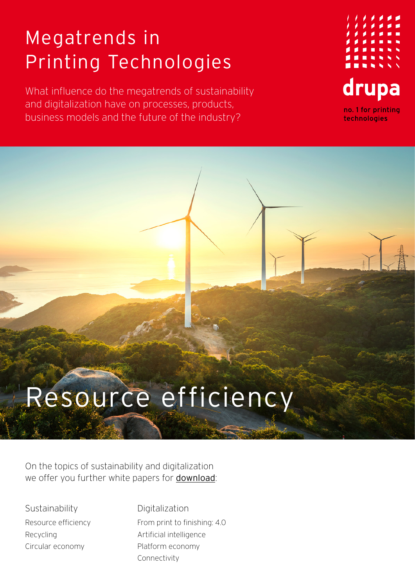## Megatrends in Printing Technologies

What influence do the megatrends of sustainability and digitalization have on processes, products, business models and the future of the industry?



## Resource efficiency

On the topics of sustainability and digitalization we offer you further white papers for [download](https://www.drupa.com/drupa_maintopics_EN):

**Sustainability** Resource efficiency Recycling Circular economy

Digitalization From print to finishing: 4.0 Artificial intelligence Platform economy Connectivity